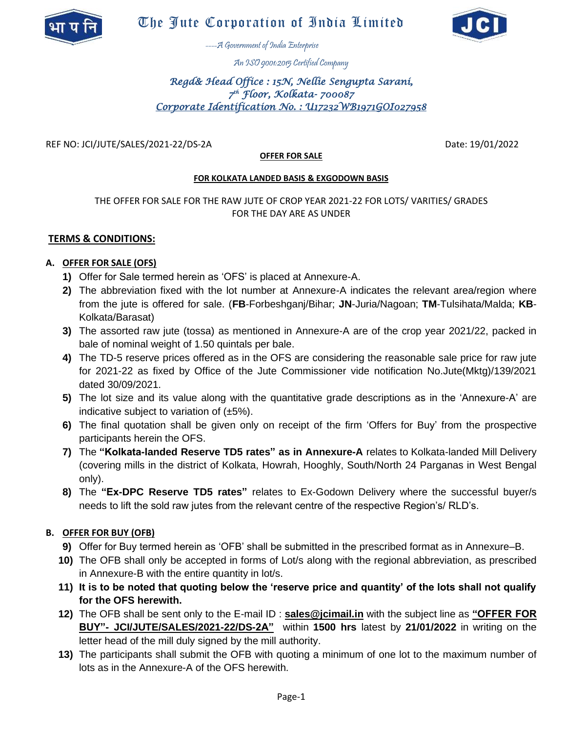



----A Government of India Enterprise

An ISO 9001:2015 Certified Company

# *Regd& Head Office : 15N, Nellie Sengupta Sarani, 7 th Floor, Kolkata- 700087 Corporate Identification No. : U17232WB1971GOI027958*

REF NO: JCI/JUTE/SALES/2021-22/DS-2A Date: 19/01/2022

### **OFFER FOR SALE**

### **FOR KOLKATA LANDED BASIS & EXGODOWN BASIS**

## THE OFFER FOR SALE FOR THE RAW JUTE OF CROP YEAR 2021-22 FOR LOTS/ VARITIES/ GRADES FOR THE DAY ARE AS UNDER

## **TERMS & CONDITIONS:**

### **A. OFFER FOR SALE (OFS)**

- **1)** Offer for Sale termed herein as 'OFS' is placed at Annexure-A.
- **2)** The abbreviation fixed with the lot number at Annexure-A indicates the relevant area/region where from the jute is offered for sale. (**FB**-Forbeshganj/Bihar; **JN**-Juria/Nagoan; **TM**-Tulsihata/Malda; **KB**-Kolkata/Barasat)
- **3)** The assorted raw jute (tossa) as mentioned in Annexure-A are of the crop year 2021/22, packed in bale of nominal weight of 1.50 quintals per bale.
- **4)** The TD-5 reserve prices offered as in the OFS are considering the reasonable sale price for raw jute for 2021-22 as fixed by Office of the Jute Commissioner vide notification No.Jute(Mktg)/139/2021 dated 30/09/2021.
- **5)** The lot size and its value along with the quantitative grade descriptions as in the 'Annexure-A' are indicative subject to variation of  $(\pm 5\%)$ .
- **6)** The final quotation shall be given only on receipt of the firm 'Offers for Buy' from the prospective participants herein the OFS.
- **7)** The **"Kolkata-landed Reserve TD5 rates" as in Annexure-A** relates to Kolkata-landed Mill Delivery (covering mills in the district of Kolkata, Howrah, Hooghly, South/North 24 Parganas in West Bengal only).
- **8)** The **"Ex-DPC Reserve TD5 rates"** relates to Ex-Godown Delivery where the successful buyer/s needs to lift the sold raw jutes from the relevant centre of the respective Region's/ RLD's.

## **B. OFFER FOR BUY (OFB)**

- **9)** Offer for Buy termed herein as 'OFB' shall be submitted in the prescribed format as in Annexure–B.
- **10)** The OFB shall only be accepted in forms of Lot/s along with the regional abbreviation, as prescribed in Annexure-B with the entire quantity in lot/s.
- **11) It is to be noted that quoting below the 'reserve price and quantity' of the lots shall not qualify for the OFS herewith.**
- **12)** The OFB shall be sent only to the E-mail ID : **sales@jcimail.in** with the subject line as **"OFFER FOR BUY"- JCI/JUTE/SALES/2021-22/DS-2A"** within **1500 hrs** latest by **21/01/2022** in writing on the letter head of the mill duly signed by the mill authority.
- **13)** The participants shall submit the OFB with quoting a minimum of one lot to the maximum number of lots as in the Annexure-A of the OFS herewith.